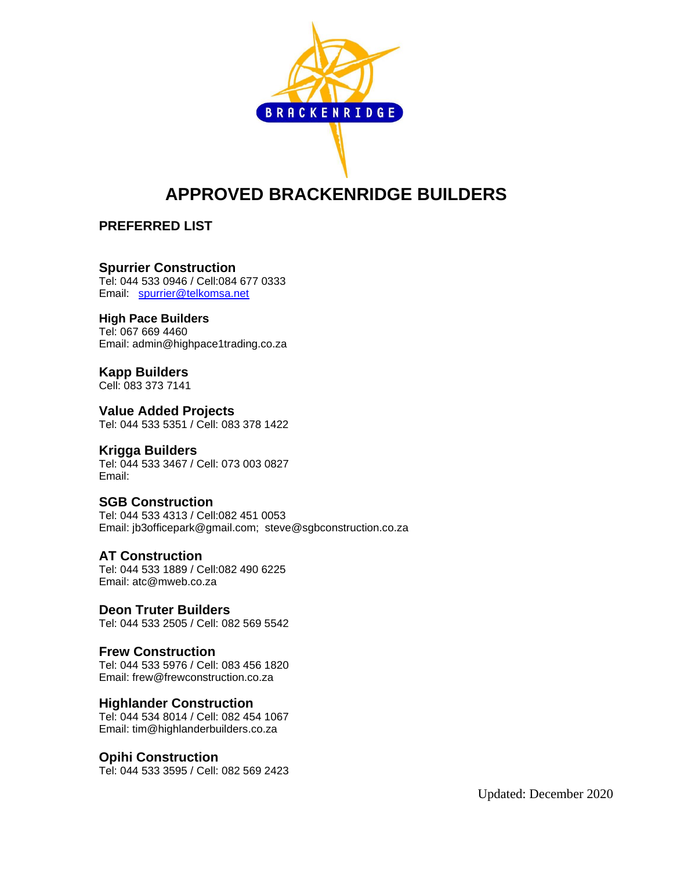

# **APPROVED BRACKENRIDGE BUILDERS**

# **PREFERRED LIST**

## **Spurrier Construction**

Tel: 044 533 0946 / Cell:084 677 0333 Email: [spurrier@telkomsa.net](mailto:spurrier@telkomsa.net)

#### **High Pace Builders**

Tel: 067 669 4460 Email: admin@highpace1trading.co.za

# **Kapp Builders**

Cell: 083 373 7141

# **Value Added Projects**

Tel: 044 533 5351 / Cell: 083 378 1422

# **Krigga Builders**

Tel: 044 533 3467 / Cell: 073 003 0827 Email:

#### **SGB Construction**

Tel: 044 533 4313 / Cell:082 451 0053 Email: jb3officepark@gmail.com; steve@sgbconstruction.co.za

#### **AT Construction**

Tel: 044 533 1889 / Cell:082 490 6225 Email: atc@mweb.co.za

# **Deon Truter Builders**

Tel: 044 533 2505 / Cell: 082 569 5542

#### **Frew Construction**

Tel: 044 533 5976 / Cell: 083 456 1820 Email: frew@frewconstruction.co.za

# **Highlander Construction**

Tel: 044 534 8014 / Cell: 082 454 1067 Email: tim@highlanderbuilders.co.za

# **Opihi Construction**

Tel: 044 533 3595 / Cell: 082 569 2423